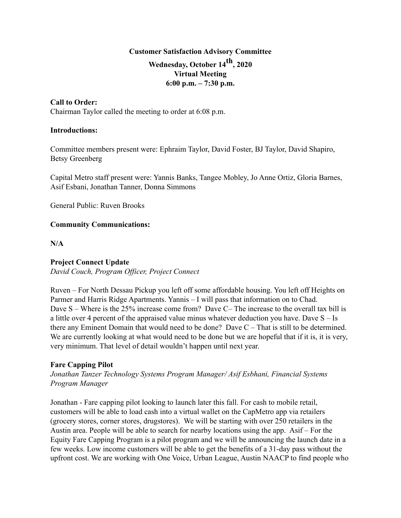# **Customer Satisfaction Advisory Committee Wednesday, October 14th, 2020 Virtual Meeting 6:00 p.m. – 7:30 p.m.**

#### **Call to Order:**

Chairman Taylor called the meeting to order at 6:08 p.m.

#### **Introductions:**

Committee members present were: Ephraim Taylor, David Foster, BJ Taylor, David Shapiro, Betsy Greenberg

Capital Metro staff present were: Yannis Banks, Tangee Mobley, Jo Anne Ortiz, Gloria Barnes, Asif Esbani, Jonathan Tanner, Donna Simmons

General Public: Ruven Brooks

#### **Community Communications:**

**N/A**

#### **Project Connect Update**

*David Couch, Program Officer, Project Connect*

Ruven – For North Dessau Pickup you left off some affordable housing. You left off Heights on Parmer and Harris Ridge Apartments. Yannis – I will pass that information on to Chad. Dave S – Where is the 25% increase come from? Dave C– The increase to the overall tax bill is a little over 4 percent of the appraised value minus whatever deduction you have. Dave  $S - Is$ there any Eminent Domain that would need to be done? Dave C – That is still to be determined. We are currently looking at what would need to be done but we are hopeful that if it is, it is very, very minimum. That level of detail wouldn't happen until next year.

#### **Fare Capping Pilot**

*Jonathan Tanzer Technology Systems Program Manager/ Asif Esbhani, Financial Systems Program Manager*

Jonathan - Fare capping pilot looking to launch later this fall. For cash to mobile retail, customers will be able to load cash into a virtual wallet on the CapMetro app via retailers (grocery stores, corner stores, drugstores). We will be starting with over 250 retailers in the Austin area. People will be able to search for nearby locations using the app. Asif – For the Equity Fare Capping Program is a pilot program and we will be announcing the launch date in a few weeks. Low income customers will be able to get the benefits of a 31-day pass without the upfront cost. We are working with One Voice, Urban League, Austin NAACP to find people who